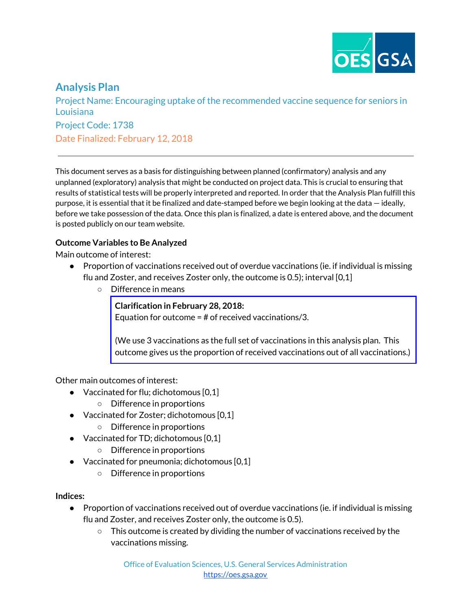

# **Analysis Plan**

Project Name: Encouraging uptake of the recommended vaccine sequence for seniors in Louisiana Project Code: 1738 Date Finalized: February 12, 2018

This document serves as a basis for distinguishing between planned (confirmatory) analysis and any unplanned (exploratory) analysis that might be conducted on project data. This is crucial to ensuring that results of statistical tests will be properly interpreted and reported. In order that the Analysis Plan fulfill this purpose, it is essential that it be finalized and date-stamped before we begin looking at the data — ideally, before we take possession of the data. Once this plan is finalized, a date is entered above, and the document is posted publicly on our team website.

### **Outcome Variables to Be Analyzed**

Main outcome of interest:

- Proportion of vaccinations received out of overdue vaccinations (ie. if individual is missing flu and Zoster, and receives Zoster only, the outcome is 0.5); interval [0,1]
	- Difference in means

**Clarification in February 28, 2018:**

Equation for outcome = # of received vaccinations/3.

(We use 3 vaccinations as the full set of vaccinations in this analysis plan. This outcome gives us the proportion of received vaccinations out of all vaccinations.)

Other main outcomes of interest:

- $\bullet$  Vaccinated for flu; dichotomous [0,1]
	- Difference in proportions
- Vaccinated for Zoster; dichotomous [0,1]
	- Difference in proportions
- Vaccinated for TD; dichotomous [0,1]
	- Difference in proportions
- Vaccinated for pneumonia; dichotomous [0,1]
	- Difference in proportions

**Indices:**

- Proportion of vaccinations received out of overdue vaccinations (ie. if individual is missing flu and Zoster, and receives Zoster only, the outcome is 0.5).
	- $\circ$  This outcome is created by dividing the number of vaccinations received by the vaccinations missing.

Office of Evaluation Sciences, U.S. General Services Administration [https://oes.gsa.gov](https://oes.gsa.gov/)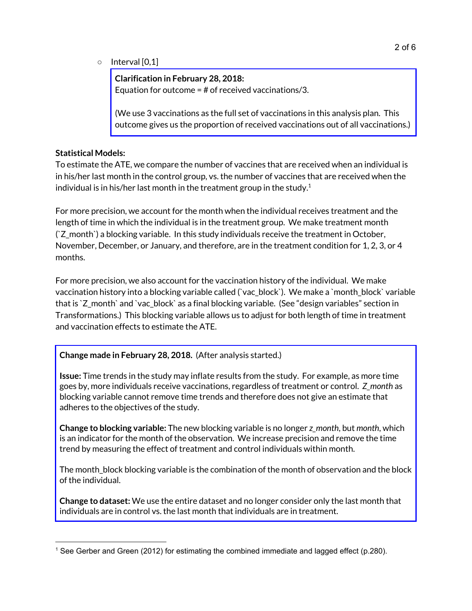○ Interval [0,1]

**Clarification in February 28, 2018:** Equation for outcome = # of received vaccinations/3.

(We use 3 vaccinations as the full set of vaccinations in this analysis plan. This outcome gives us the proportion of received vaccinations out of all vaccinations.)

### **Statistical Models:**

To estimate the ATE, we compare the number of vaccines that are received when an individual is in his/her last month in the control group, vs. the number of vaccines that are received when the individual is in his/her last month in the treatment group in the study. $^1$ 

For more precision, we account for the month when the individual receives treatment and the length of time in which the individual is in the treatment group. We make treatment month (`Z\_month`) a blocking variable. In this study individuals receive the treatment in October, November, December, or January, and therefore, are in the treatment condition for 1, 2, 3, or 4 months.

For more precision, we also account for the vaccination history of the individual. We make vaccination history into a blocking variable called (`vac\_block`). We make a `month\_block` variable that is `Z\_month` and `vac\_block` as a final blocking variable. (See "design variables" section in Transformations.) This blocking variable allows us to adjust for both length of time in treatment and vaccination effects to estimate the ATE.

### **Change made in February 28, 2018.** (After analysis started.)

**Issue:** Time trends in the study may inflate results from the study. For example, as more time goes by, more individuals receive vaccinations, regardless of treatment or control. *Z\_month* as blocking variable cannot remove time trends and therefore does not give an estimate that adheres to the objectives of the study.

**Change to blocking variable:** The new blocking variable is no longer *z\_month*, but *month*, which is an indicator for the month of the observation. We increase precision and remove the time trend by measuring the effect of treatment and control individuals within month.

The month\_block blocking variable is the combination of the month of observation and the block of the individual.

**Change to dataset:** We use the entire dataset and no longer consider only the last month that individuals are in control vs. the last month that individuals are in treatment.

<sup>1</sup> See Gerber and Green (2012) for estimating the combined immediate and lagged effect (p.280).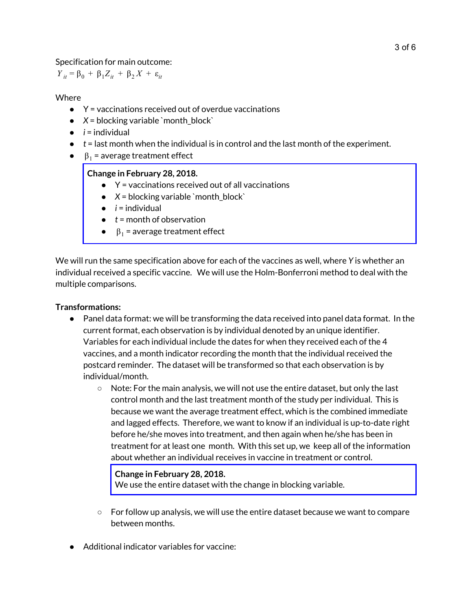Specification for main outcome:

*Y*<sub>*it*</sub> = β<sub>0</sub> + β<sub>1</sub>Z<sub>*it*</sub> + β<sub>2</sub>*X* + ε<sub>*it*</sub>

### Where

- $\bullet$   $\forall$  = vaccinations received out of overdue vaccinations
- $\bullet$   $X =$  blocking variable `month\_block`
- $\bullet$  *i* = individual
- *t* = last month when the individual is in control and the last month of the experiment.
- $\theta_1$  = average treatment effect

### **Change in February 28, 2018.**

- $\bullet$   $\gamma$  = vaccinations received out of all vaccinations
- $\bullet$   $X =$  blocking variable `month\_block`
- $\bullet$  *i* = individual
- *t* = month of observation
- $\beta_1$  = average treatment effect

We will run the same specification above for each of the vaccines as well, where *Y* is whether an individual received a specific vaccine. We will use the Holm-Bonferroni method to deal with the multiple comparisons.

### **Transformations:**

- Panel data format: we will be transforming the data received into panel data format. In the current format, each observation is by individual denoted by an unique identifier. Variables for each individual include the dates for when they received each of the 4 vaccines, and a month indicator recording the month that the individual received the postcard reminder. The dataset will be transformed so that each observation is by individual/month.
	- $\circ$  Note: For the main analysis, we will not use the entire dataset, but only the last control month and the last treatment month of the study per individual. This is because we want the average treatment effect, which is the combined immediate and lagged effects. Therefore, we want to know if an individual is up-to-date right before he/she moves into treatment, and then again when he/she has been in treatment for at least one month. With this set up, we keep all of the information about whether an individual receives in vaccine in treatment or control.

#### **Change in February 28, 2018.**

We use the entire dataset with the change in blocking variable.

- $\circ$  For follow up analysis, we will use the entire dataset because we want to compare between months.
- Additional indicator variables for vaccine: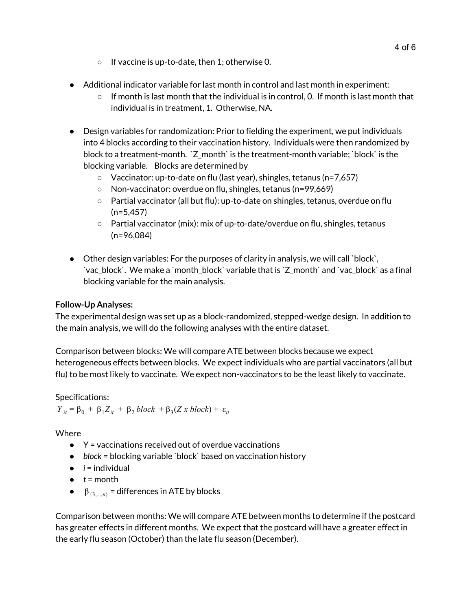- If vaccine is up-to-date, then 1; otherwise 0.
- Additional indicator variable for last month in control and last month in experiment:
	- $\circ$  If month is last month that the individual is in control, 0. If month is last month that individual is in treatment, 1. Otherwise, NA.
- Design variables for randomization: Prior to fielding the experiment, we put individuals into 4 blocks according to their vaccination history. Individuals were then randomized by block to a treatment-month. `Z\_month` is the treatment-month variable; `block` is the blocking variable. Blocks are determined by
	- Vaccinator: up-to-date on flu (last year), shingles, tetanus (n=7,657)
	- Non-vaccinator: overdue on flu, shingles, tetanus (n=99,669)
	- Partial vaccinator (all but flu): up-to-date on shingles, tetanus, overdue on flu  $(n=5,457)$
	- Partial vaccinator (mix): mix of up-to-date/overdue on flu, shingles, tetanus (n=96,084)
- Other design variables: For the purposes of clarity in analysis, we will call `block`, `vac\_block`. We make a `month\_block` variable that is `Z\_month` and `vac\_block` as a final blocking variable for the main analysis.

### **Follow-Up Analyses:**

The experimental design was set up as a block-randomized, stepped-wedge design. In addition to the main analysis, we will do the following analyses with the entire dataset.

Comparison between blocks: We will compare ATE between blocks because we expect heterogeneous effects between blocks. We expect individuals who are partial vaccinators (all but flu) to be most likely to vaccinate. We expect non-vaccinators to be the least likely to vaccinate.

## Specifications:

 $Y_{it} = \beta_0 + \beta_1 Z_{it} + \beta_2 \, block + \beta_3 (Z \, x \, block) + \varepsilon_{it}$ 

Where

- $\bullet$   $\gamma$  = vaccinations received out of overdue vaccinations
- *● block* = blocking variable `block` based on vaccination history
- $\bullet$  *i* = individual
- $\bullet$   $t =$  month
- $\theta$   $\beta$ <sub>{3,..,*n*}</sub> = differences in ATE by blocks

Comparison between months: We will compare ATE between months to determine if the postcard has greater effects in different months. We expect that the postcard will have a greater effect in the early flu season (October) than the late flu season (December).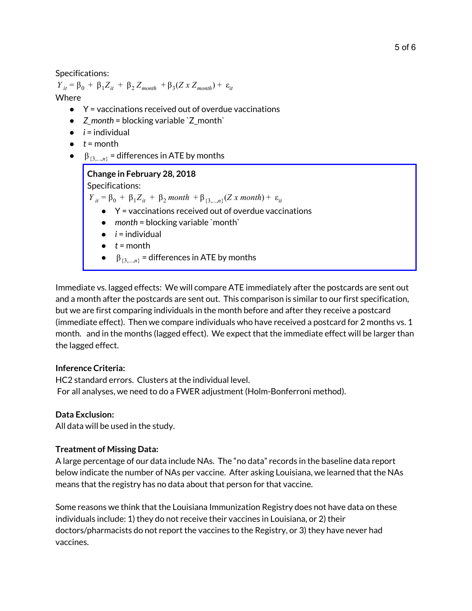Specifications:

*Y*<sub>it</sub> = β<sub>0</sub> + β<sub>1</sub>Z<sub>it</sub> + β<sub>2</sub>Z<sub>month</sub> + β<sub>3</sub>(Z x Z<sub>month</sub>) + ε<sub>it</sub> Where

- $\bullet$   $\forall$  = vaccinations received out of overdue vaccinations
- *Z\_month* = blocking variable `Z\_month`
- $\bullet$  *i* = individual
- $\bullet$   $t =$  month
- $\bullet$   $\beta_{\{3,\dots,n\}}$  = differences in ATE by months

### **Change in February 28, 2018**

Specifications:

*Y*<sub>it</sub> = β<sub>0</sub> + β<sub>1</sub>Z<sub>it</sub> + β<sub>2</sub> *month* + β<sub>{3,...,*n*}</sub> (*Z x month*) + ε<sub>it</sub>

- $\bullet$   $\gamma$  = vaccinations received out of overdue vaccinations
- *month* = blocking variable `month`
- $\bullet$  *i* = individual
- $\bullet$   $t =$  month
- $\bullet$   $\beta_{\{3,\ldots,n\}}$  = differences in ATE by months

Immediate vs. lagged effects: We will compare ATE immediately after the postcards are sent out and a month after the postcards are sent out. This comparison is similar to our first specification, but we are first comparing individuals in the month before and after they receive a postcard (immediate effect). Then we compare individuals who have received a postcard for 2 months vs. 1 month. and in the months (lagged effect). We expect that the immediate effect will be larger than the lagged effect.

### **Inference Criteria:**

HC2 standard errors. Clusters at the individual level. For all analyses, we need to do a FWER adjustment (Holm-Bonferroni method).

### **Data Exclusion:**

All data will be used in the study.

### **Treatment of Missing Data:**

A large percentage of our data include NAs. The "no data" records in the baseline data report below indicate the number of NAs per vaccine. After asking Louisiana, we learned that the NAs means that the registry has no data about that person for that vaccine.

Some reasons we think that the Louisiana Immunization Registry does not have data on these individuals include: 1) they do not receive their vaccines in Louisiana, or 2) their doctors/pharmacists do not report the vaccines to the Registry, or 3) they have never had vaccines.